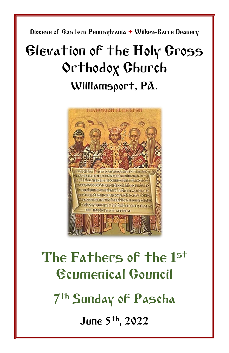Diocese of Eastern Pennsylvania **+** Wilkes-Barre Deanery

# Elevation of the Holy Cross Orthodox Church Williamsport, PA.



# The Fathers of the 1st Ecumenical Council

7 th Sunday of Pascha

June 5 th, 2022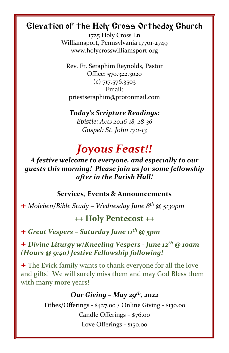# Elevation of the Holy Cross Orthodox Church

1725 Holy Cross Ln Williamsport, Pennsylvania 17701-2749 www.holycrosswilliamsport.org

Rev. Fr. Seraphim Reynolds, Pastor Office: 570.322.3020 (c) 717.576.3503 Email: priestseraphim@protonmail.com

*Today's Scripture Readings: Epistle: Acts 20:16-18, 28-36 Gospel: St. John 17:1-13*

# *Joyous Feast!!*

*A festive welcome to everyone, and especially to our guests this morning! Please join us for some fellowship after in the Parish Hall!*

#### **Services, Events & Announcements**

+ *Moleben/Bible Study – Wednesday June 8 th @ 5:30pm*

### **++ Holy Pentecost ++**

+ *Great Vespers – Saturday June 11 th @ 5pm*

+ *Divine Liturgy w/Kneeling Vespers - June 12th @ 10am (Hours @ 9:40) festive Fellowship following!*

+ The Evick family wants to thank everyone for all the love and gifts! We will surely miss them and may God Bless them with many more years!

### *Our Giving – May 29th , 2022*

Tithes/Offerings - \$427.00 / Online Giving - \$130.00 Candle Offerings – \$76.00 Love Offerings - \$150.00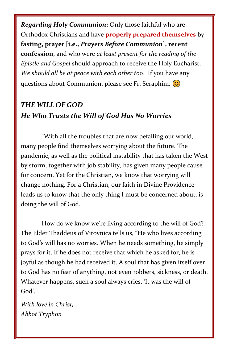*Regarding Holy Communion***:** Only those faithful who are Orthodox Christians and have **properly prepared themselves** by **fasting, prayer [i.e.,** *Prayers Before Communion***], recent confession**, and who were *at least present for the reading of the Epistle and Gospel* should approach to receive the Holy Eucharist. *We should all be at peace with each other too*. If you have any questions about Communion, please see Fr. Seraphim.

# *THE WILL OF GOD He Who Trusts the Will of God Has No Worries*

"With all the troubles that are now befalling our world, many people find themselves worrying about the future. The pandemic, as well as the political instability that has taken the West by storm, together with job stability, has given many people cause for concern. Yet for the Christian, we know that worrying will change nothing. For a Christian, our faith in Divine Providence leads us to know that the only thing I must be concerned about, is doing the will of God.

How do we know we're living according to the will of God? The Elder Thaddeus of Vitovnica tells us, "He who lives according to God's will has no worries. When he needs something, he simply prays for it. If he does not receive that which he asked for, he is joyful as though he had received it. A soul that has given itself over to God has no fear of anything, not even robbers, sickness, or death. Whatever happens, such a soul always cries, 'It was the will of God'."

*With love in Christ, Abbot Tryphon*